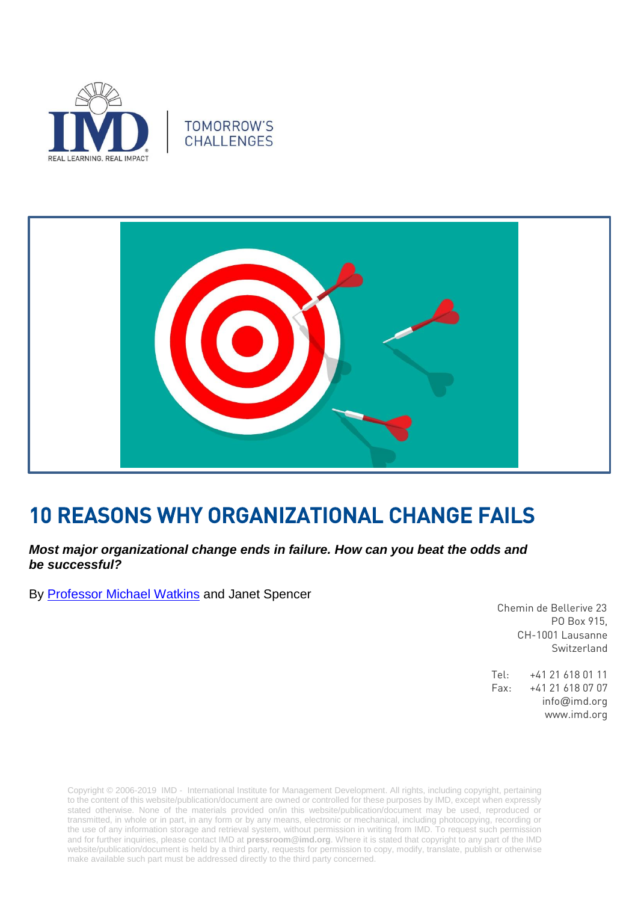





# 10 REASONS WHY ORGANIZATIONAL CHANGE FAILS

# *Most major organizational change ends in failure. How can you beat the odds and be successful?*

By [Professor Michael Watkins](https://www.imd.org/faculty/professors/michael-watkins/) and Janet Spencer

 Chemin de Bellerive 23 PO Box 915, CH-1001 Lausanne Switzerland

Tel: +41 21 618 01 11 Fax: +41 21 618 07 07 info@imd.org www.imd.org

Copyright © 2006-2019 IMD - International Institute for Management Development. All rights, including copyright, pertaining to the content of this website/publication/document are owned or controlled for these purposes by IMD, except when expressly stated otherwise. None of the materials provided on/in this website/publication/document may be used, reproduced or transmitted, in whole or in part, in any form or by any means, electronic or mechanical, including photocopying, recording or the use of any information storage and retrieval system, without permission in writing from IMD. To request such permission and for further inquiries, please contact IMD at **[pressroom@imd.org](mailto:pressroom@imd.org)**. Where it is stated that copyright to any part of the IMD website/publication/document is held by a third party, requests for permission to copy, modify, translate, publish or otherwise make available such part must be addressed directly to the third party concerned.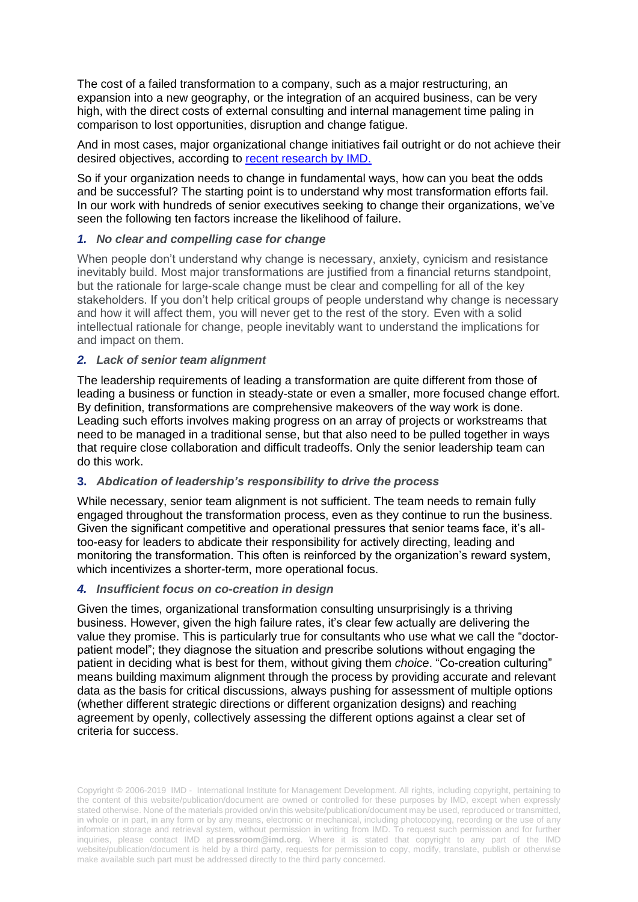The cost of a failed transformation to a company, such as a major restructuring, an expansion into a new geography, or the integration of an acquired business, can be very high, with the direct costs of external consulting and internal management time paling in comparison to lost opportunities, disruption and change fatigue.

And in most cases, major organizational change initiatives fail outright or do not achieve their desired objectives, according to [recent research](https://hbr.org/2017/11/what-everyone-gets-wrong-about-change-management) by IMD.

So if your organization needs to change in fundamental ways, how can you beat the odds and be successful? The starting point is to understand why most transformation efforts fail. In our work with hundreds of senior executives seeking to change their organizations, we've seen the following ten factors increase the likelihood of failure.

## *1. No clear and compelling case for change*

When people don't understand why change is necessary, anxiety, cynicism and resistance inevitably build. Most major transformations are justified from a financial returns standpoint, but the rationale for large-scale change must be clear and compelling for all of the key stakeholders. If you don't help critical groups of people understand why change is necessary and how it will affect them, you will never get to the rest of the story*.* Even with a solid intellectual rationale for change, people inevitably want to understand the implications for and impact on them.

#### *2. Lack of senior team alignment*

The leadership requirements of leading a transformation are quite different from those of leading a business or function in steady-state or even a smaller, more focused change effort. By definition, transformations are comprehensive makeovers of the way work is done. Leading such efforts involves making progress on an array of projects or workstreams that need to be managed in a traditional sense, but that also need to be pulled together in ways that require close collaboration and difficult tradeoffs. Only the senior leadership team can do this work.

## **3.** *Abdication of leadership's responsibility to drive the process*

While necessary, senior team alignment is not sufficient. The team needs to remain fully engaged throughout the transformation process, even as they continue to run the business. Given the significant competitive and operational pressures that senior teams face, it's alltoo-easy for leaders to abdicate their responsibility for actively directing, leading and monitoring the transformation. This often is reinforced by the organization's reward system, which incentivizes a shorter-term, more operational focus.

#### *4. Insufficient focus on co-creation in design*

Given the times, organizational transformation consulting unsurprisingly is a thriving business. However, given the high failure rates, it's clear few actually are delivering the value they promise. This is particularly true for consultants who use what we call the "doctorpatient model"; they diagnose the situation and prescribe solutions without engaging the patient in deciding what is best for them, without giving them *choice*. "Co-creation culturing" means building maximum alignment through the process by providing accurate and relevant data as the basis for critical discussions, always pushing for assessment of multiple options (whether different strategic directions or different organization designs) and reaching agreement by openly, collectively assessing the different options against a clear set of criteria for success.

Copyright © 2006-2019 IMD - International Institute for Management Development. All rights, including copyright, pertaining to the content of this website/publication/document are owned or controlled for these purposes by IMD, except when expressly stated otherwise. None of the materials provided on/in this website/publication/document may be used, reproduced or transmitted, in whole or in part, in any form or by any means, electronic or mechanical, including photocopying, recording or the use of any information storage and retrieval system, without permission in writing from IMD. To request such permission and for further inquiries, please contact IMD at **[pressroom@imd.org](mailto:pressroom@imd.org)**. Where it is stated that copyright to any part of the IMD website/publication/document is held by a third party, requests for permission to copy, modify, translate, publish or otherwise make available such part must be addressed directly to the third party concerned.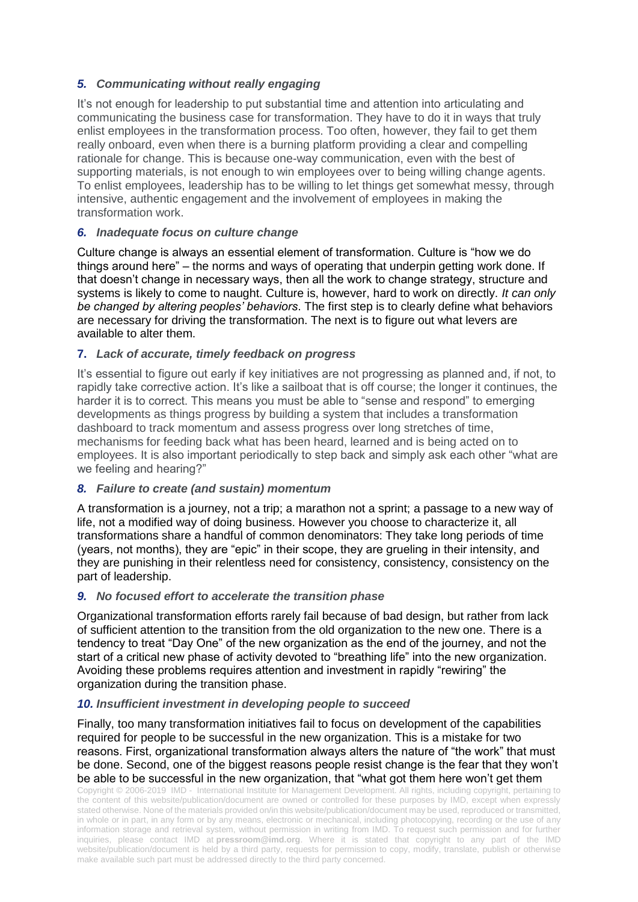# *5. Communicating without really engaging*

It's not enough for leadership to put substantial time and attention into articulating and communicating the business case for transformation. They have to do it in ways that truly enlist employees in the transformation process. Too often, however, they fail to get them really onboard, even when there is a burning platform providing a clear and compelling rationale for change. This is because one-way communication, even with the best of supporting materials, is not enough to win employees over to being willing change agents. To enlist employees, leadership has to be willing to let things get somewhat messy, through intensive, authentic engagement and the involvement of employees in making the transformation work.

# *6. Inadequate focus on culture change*

Culture change is always an essential element of transformation. Culture is "how we do things around here" – the norms and ways of operating that underpin getting work done. If that doesn't change in necessary ways, then all the work to change strategy, structure and systems is likely to come to naught. Culture is, however, hard to work on directly. *It can only be changed by altering peoples' behaviors*. The first step is to clearly define what behaviors are necessary for driving the transformation. The next is to figure out what levers are available to alter them.

# **7.** *Lack of accurate, timely feedback on progress*

It's essential to figure out early if key initiatives are not progressing as planned and, if not, to rapidly take corrective action. It's like a sailboat that is off course; the longer it continues, the harder it is to correct. This means you must be able to "sense and respond" to emerging developments as things progress by building a system that includes a transformation dashboard to track momentum and assess progress over long stretches of time, mechanisms for feeding back what has been heard, learned and is being acted on to employees. It is also important periodically to step back and simply ask each other "what are we feeling and hearing?"

# *8. Failure to create (and sustain) momentum*

A transformation is a journey, not a trip; a marathon not a sprint; a passage to a new way of life, not a modified way of doing business. However you choose to characterize it, all transformations share a handful of common denominators: They take long periods of time (years, not months), they are "epic" in their scope, they are grueling in their intensity, and they are punishing in their relentless need for consistency, consistency, consistency on the part of leadership.

## *9. No focused effort to accelerate the transition phase*

Organizational transformation efforts rarely fail because of bad design, but rather from lack of sufficient attention to the transition from the old organization to the new one. There is a tendency to treat "Day One" of the new organization as the end of the journey, and not the start of a critical new phase of activity devoted to "breathing life" into the new organization. Avoiding these problems requires attention and investment in rapidly "rewiring" the organization during the transition phase.

## *10. Insufficient investment in developing people to succeed*

Finally, too many transformation initiatives fail to focus on development of the capabilities required for people to be successful in the new organization. This is a mistake for two reasons. First, organizational transformation always alters the nature of "the work" that must be done. Second, one of the biggest reasons people resist change is the fear that they won't be able to be successful in the new organization, that "what got them here won't get them

Copyright © 2006-2019 IMD - International Institute for Management Development. All rights, including copyright, pertaining to the content of this website/publication/document are owned or controlled for these purposes by IMD, except when expressly stated otherwise. None of the materials provided on/in this website/publication/document may be used, reproduced or transmitted, in whole or in part, in any form or by any means, electronic or mechanical, including photocopying, recording or the use of any information storage and retrieval system, without permission in writing from IMD. To request such permission and for further inquiries, please contact IMD at **[pressroom@imd.org](mailto:pressroom@imd.org)**. Where it is stated that copyright to any part of the IMD website/publication/document is held by a third party, requests for permission to copy, modify, translate, publish or otherwise make available such part must be addressed directly to the third party concerned.